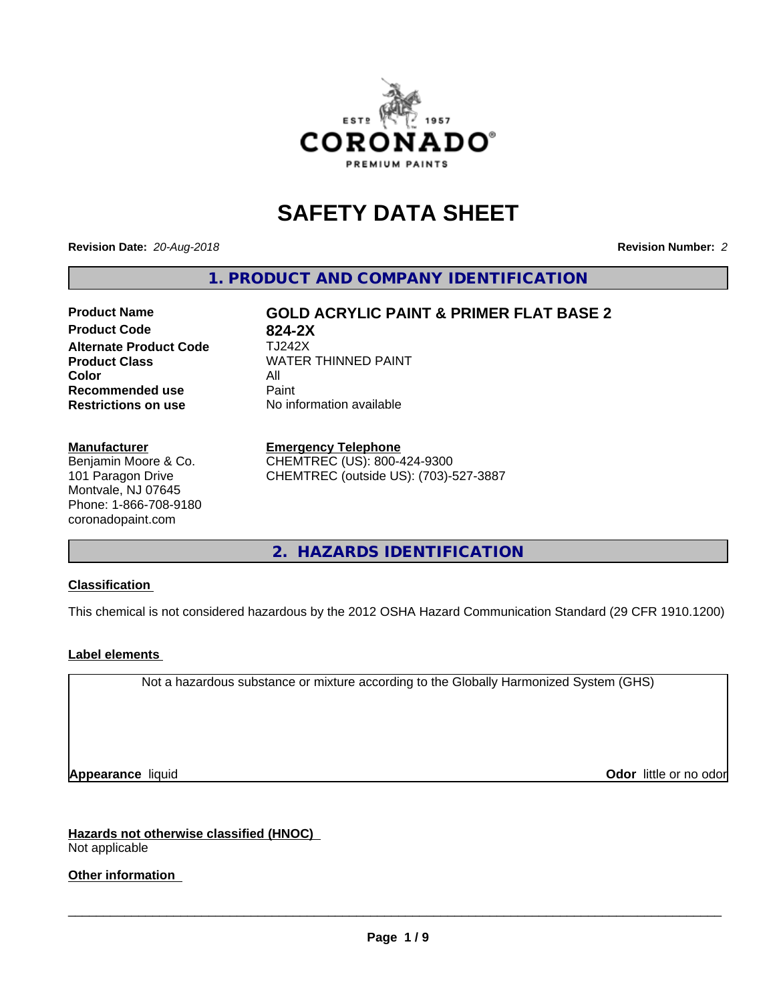

# **SAFETY DATA SHEET**

**Revision Date:** *20-Aug-2018* **Revision Number:** *2*

**1. PRODUCT AND COMPANY IDENTIFICATION**

# **Product Code 624-2X<br>
<b>Alternate Product Code** TJ242X **Alternate Product Code Product Class WATER THINNED PAINT Color** All All<br>**Recommended use** Paint **Recommended use Restrictions on use** No information available

**Product Name GOLD ACRYLIC PAINT & PRIMER FLAT BASE 2**

**Manufacturer**

Benjamin Moore & Co. 101 Paragon Drive Montvale, NJ 07645 Phone: 1-866-708-9180 coronadopaint.com

#### **Emergency Telephone**

CHEMTREC (US): 800-424-9300 CHEMTREC (outside US): (703)-527-3887

**2. HAZARDS IDENTIFICATION**

### **Classification**

This chemical is not considered hazardous by the 2012 OSHA Hazard Communication Standard (29 CFR 1910.1200)

### **Label elements**

Not a hazardous substance or mixture according to the Globally Harmonized System (GHS)

**Appearance** liquid **Contract Contract Contract Contract Contract Contract Contract Contract Contract Contract Contract Contract Contract Contract Contract Contract Contract Contract Contract Contract Contract Contract Con** 

**Hazards not otherwise classified (HNOC)** Not applicable

**Other information**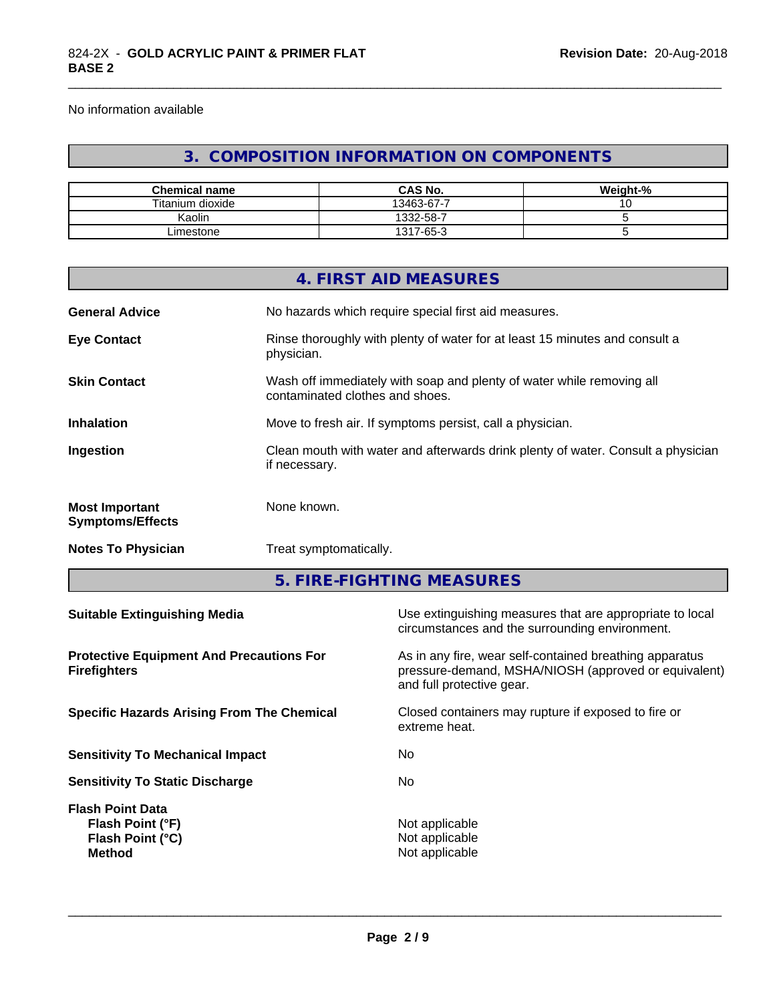No information available

# **3. COMPOSITION INFORMATION ON COMPONENTS**

\_\_\_\_\_\_\_\_\_\_\_\_\_\_\_\_\_\_\_\_\_\_\_\_\_\_\_\_\_\_\_\_\_\_\_\_\_\_\_\_\_\_\_\_\_\_\_\_\_\_\_\_\_\_\_\_\_\_\_\_\_\_\_\_\_\_\_\_\_\_\_\_\_\_\_\_\_\_\_\_\_\_\_\_\_\_\_\_\_\_\_\_\_

| <b>Chemical name</b> | <b>CAS No.</b> | Weight-% |
|----------------------|----------------|----------|
| Titanium dioxide     | 13463-67-7     | $\cdot$  |
| Kaolin               | 1332-58-7      |          |
| ∟imestone            | 1317-65-3      |          |

|                                                                                                                             |               | 4. FIRST AID MEASURES                                                                                                                        |  |
|-----------------------------------------------------------------------------------------------------------------------------|---------------|----------------------------------------------------------------------------------------------------------------------------------------------|--|
| <b>General Advice</b>                                                                                                       |               | No hazards which require special first aid measures.                                                                                         |  |
| <b>Eye Contact</b>                                                                                                          | physician.    | Rinse thoroughly with plenty of water for at least 15 minutes and consult a                                                                  |  |
| <b>Skin Contact</b>                                                                                                         |               | Wash off immediately with soap and plenty of water while removing all<br>contaminated clothes and shoes.                                     |  |
| Inhalation                                                                                                                  |               | Move to fresh air. If symptoms persist, call a physician.                                                                                    |  |
| Ingestion                                                                                                                   | if necessary. | Clean mouth with water and afterwards drink plenty of water. Consult a physician                                                             |  |
| <b>Most Important</b><br><b>Symptoms/Effects</b>                                                                            | None known.   |                                                                                                                                              |  |
| <b>Notes To Physician</b>                                                                                                   |               | Treat symptomatically.                                                                                                                       |  |
|                                                                                                                             |               | 5. FIRE-FIGHTING MEASURES                                                                                                                    |  |
| <b>Suitable Extinguishing Media</b>                                                                                         |               | Use extinguishing measures that are appropriate to local<br>circumstances and the surrounding environment.                                   |  |
| <b>Protective Equipment And Precautions For</b><br><b>Firefighters</b><br><b>Specific Hazards Arising From The Chemical</b> |               | As in any fire, wear self-contained breathing apparatus<br>pressure-demand, MSHA/NIOSH (approved or equivalent)<br>and full protective gear. |  |
|                                                                                                                             |               | Closed containers may rupture if exposed to fire or<br>extreme heat.                                                                         |  |
| <b>Sensitivity To Mechanical Impact</b>                                                                                     |               | No                                                                                                                                           |  |
| <b>Sensitivity To Static Discharge</b>                                                                                      |               | No                                                                                                                                           |  |

**Flash Point Data Flash Point (°F)**<br> **Flash Point (°C)**<br> **Flash Point (°C)**<br> **CO Flash Point (°C)** 

 $\overline{\phantom{a}}$  ,  $\overline{\phantom{a}}$  ,  $\overline{\phantom{a}}$  ,  $\overline{\phantom{a}}$  ,  $\overline{\phantom{a}}$  ,  $\overline{\phantom{a}}$  ,  $\overline{\phantom{a}}$  ,  $\overline{\phantom{a}}$  ,  $\overline{\phantom{a}}$  ,  $\overline{\phantom{a}}$  ,  $\overline{\phantom{a}}$  ,  $\overline{\phantom{a}}$  ,  $\overline{\phantom{a}}$  ,  $\overline{\phantom{a}}$  ,  $\overline{\phantom{a}}$  ,  $\overline{\phantom{a}}$ 

**Method** Not applicable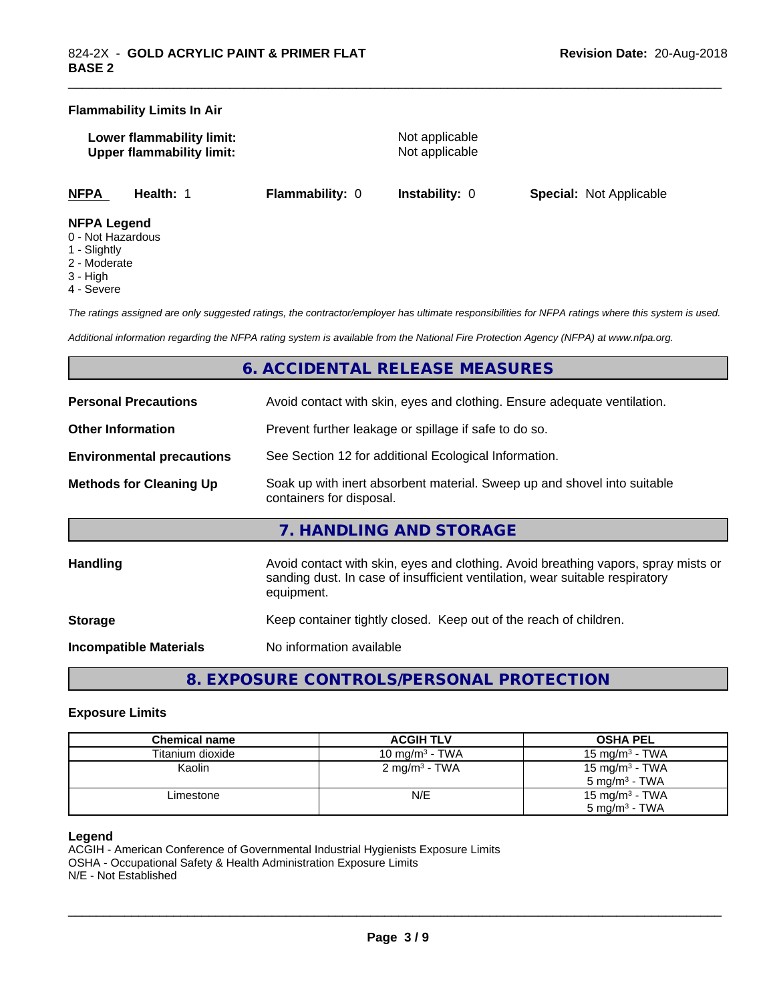#### **Flammability Limits In Air**

| Lower flammability limit:        |  |
|----------------------------------|--|
| <b>Upper flammability limit:</b> |  |

**Not applicable Not applicable** 

\_\_\_\_\_\_\_\_\_\_\_\_\_\_\_\_\_\_\_\_\_\_\_\_\_\_\_\_\_\_\_\_\_\_\_\_\_\_\_\_\_\_\_\_\_\_\_\_\_\_\_\_\_\_\_\_\_\_\_\_\_\_\_\_\_\_\_\_\_\_\_\_\_\_\_\_\_\_\_\_\_\_\_\_\_\_\_\_\_\_\_\_\_

**NFPA Health:** 1 **Flammability:** 0 **Instability:** 0 **Special:** Not Applicable

#### **NFPA Legend**

- 0 Not Hazardous
- 1 Slightly
- 2 Moderate
- 3 High
- 4 Severe

*The ratings assigned are only suggested ratings, the contractor/employer has ultimate responsibilities for NFPA ratings where this system is used.*

*Additional information regarding the NFPA rating system is available from the National Fire Protection Agency (NFPA) at www.nfpa.org.*

# **6. ACCIDENTAL RELEASE MEASURES**

| <b>Personal Precautions</b>                                                                                                            | Avoid contact with skin, eyes and clothing. Ensure adequate ventilation.                                                                                                         |
|----------------------------------------------------------------------------------------------------------------------------------------|----------------------------------------------------------------------------------------------------------------------------------------------------------------------------------|
| <b>Other Information</b>                                                                                                               | Prevent further leakage or spillage if safe to do so.                                                                                                                            |
| <b>Environmental precautions</b>                                                                                                       | See Section 12 for additional Ecological Information.                                                                                                                            |
| <b>Methods for Cleaning Up</b><br>Soak up with inert absorbent material. Sweep up and shovel into suitable<br>containers for disposal. |                                                                                                                                                                                  |
|                                                                                                                                        | 7. HANDLING AND STORAGE                                                                                                                                                          |
| Handling                                                                                                                               | Avoid contact with skin, eyes and clothing. Avoid breathing vapors, spray mists or<br>sanding dust. In case of insufficient ventilation, wear suitable respiratory<br>equipment. |
| <b>Storage</b>                                                                                                                         | Keep container tightly closed. Keep out of the reach of children.                                                                                                                |
|                                                                                                                                        |                                                                                                                                                                                  |

**Incompatible Materials** No information available

**8. EXPOSURE CONTROLS/PERSONAL PROTECTION**

#### **Exposure Limits**

| <b>Chemical name</b> | <b>ACGIH TLV</b>         | <b>OSHA PEL</b>            |
|----------------------|--------------------------|----------------------------|
| Titanium dioxide     | 10 mg/m $3$ - TWA        | 15 mg/m $3$ - TWA          |
| Kaolin               | $2 \text{ mg/m}^3$ - TWA | 15 mg/m <sup>3</sup> - TWA |
|                      |                          | $5 \text{ mg/m}^3$ - TWA   |
| Limestone            | N/E                      | 15 mg/m <sup>3</sup> - TWA |
|                      |                          | $5 \text{ mg/m}^3$ - TWA   |

### **Legend**

ACGIH - American Conference of Governmental Industrial Hygienists Exposure Limits OSHA - Occupational Safety & Health Administration Exposure Limits N/E - Not Established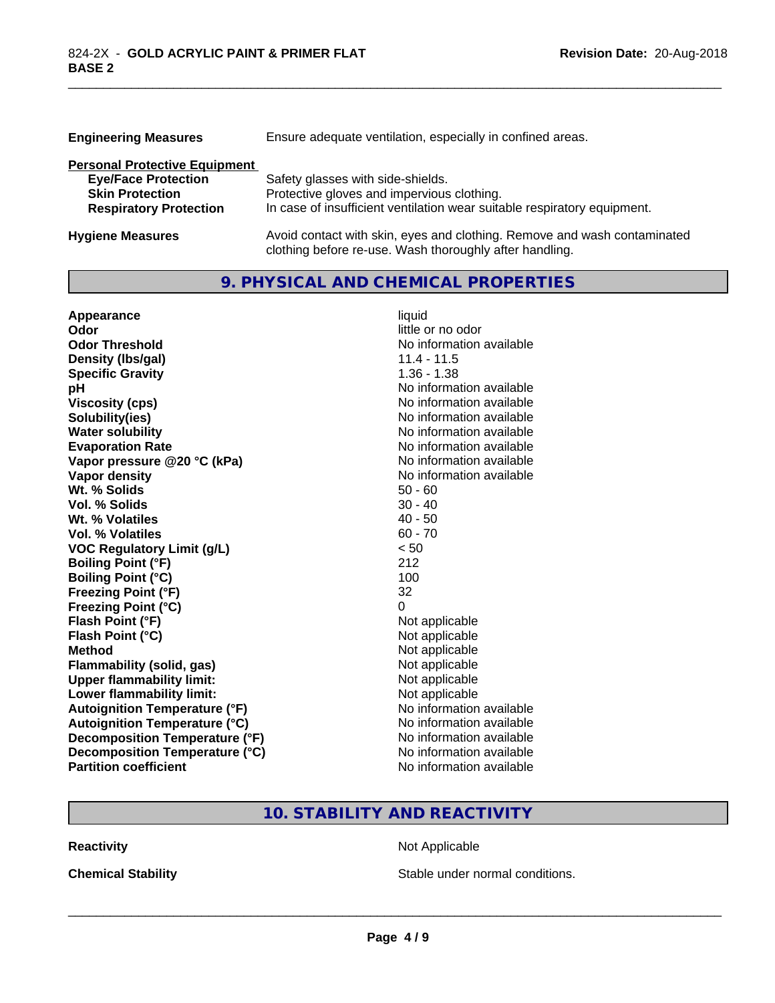| <b>Engineering Measures</b>                                                                                                   | Ensure adequate ventilation, especially in confined areas.                                                                                                  |  |  |
|-------------------------------------------------------------------------------------------------------------------------------|-------------------------------------------------------------------------------------------------------------------------------------------------------------|--|--|
| <b>Personal Protective Equipment</b><br><b>Eye/Face Protection</b><br><b>Skin Protection</b><br><b>Respiratory Protection</b> | Safety glasses with side-shields.<br>Protective gloves and impervious clothing.<br>In case of insufficient ventilation wear suitable respiratory equipment. |  |  |
| <b>Hygiene Measures</b>                                                                                                       | Avoid contact with skin, eves and clothing. Remove and wash contaminated                                                                                    |  |  |

**Hygiene Measures Hygiene Measures** Avoid contact with skin, eyes and clothing. Remove and wash contaminated clothing before re-use. Wash thoroughly after handling.

\_\_\_\_\_\_\_\_\_\_\_\_\_\_\_\_\_\_\_\_\_\_\_\_\_\_\_\_\_\_\_\_\_\_\_\_\_\_\_\_\_\_\_\_\_\_\_\_\_\_\_\_\_\_\_\_\_\_\_\_\_\_\_\_\_\_\_\_\_\_\_\_\_\_\_\_\_\_\_\_\_\_\_\_\_\_\_\_\_\_\_\_\_

# **9. PHYSICAL AND CHEMICAL PROPERTIES**

| Appearance                           | liquid                   |
|--------------------------------------|--------------------------|
| Odor                                 | little or no odor        |
| <b>Odor Threshold</b>                | No information available |
| Density (Ibs/gal)                    | $11.4 - 11.5$            |
| <b>Specific Gravity</b>              | $1.36 - 1.38$            |
| pH                                   | No information available |
| <b>Viscosity (cps)</b>               | No information available |
| Solubility(ies)                      | No information available |
| <b>Water solubility</b>              | No information available |
| <b>Evaporation Rate</b>              | No information available |
| Vapor pressure @20 °C (kPa)          | No information available |
| <b>Vapor density</b>                 | No information available |
| Wt. % Solids                         | $50 - 60$                |
| Vol. % Solids                        | $30 - 40$                |
| Wt. % Volatiles                      | $40 - 50$                |
| Vol. % Volatiles                     | $60 - 70$                |
| <b>VOC Regulatory Limit (g/L)</b>    | < 50                     |
| <b>Boiling Point (°F)</b>            | 212                      |
| <b>Boiling Point (°C)</b>            | 100                      |
| <b>Freezing Point (°F)</b>           | 32                       |
| <b>Freezing Point (°C)</b>           | $\Omega$                 |
| Flash Point (°F)                     | Not applicable           |
| Flash Point (°C)                     | Not applicable           |
| <b>Method</b>                        | Not applicable           |
| <b>Flammability (solid, gas)</b>     | Not applicable           |
| <b>Upper flammability limit:</b>     | Not applicable           |
| Lower flammability limit:            | Not applicable           |
| <b>Autoignition Temperature (°F)</b> | No information available |
| <b>Autoignition Temperature (°C)</b> | No information available |
| Decomposition Temperature (°F)       | No information available |
| Decomposition Temperature (°C)       | No information available |
| <b>Partition coefficient</b>         | No information available |

# **10. STABILITY AND REACTIVITY**

**Reactivity Not Applicable** Not Applicable

**Chemical Stability Chemical Stability** Stable under normal conditions.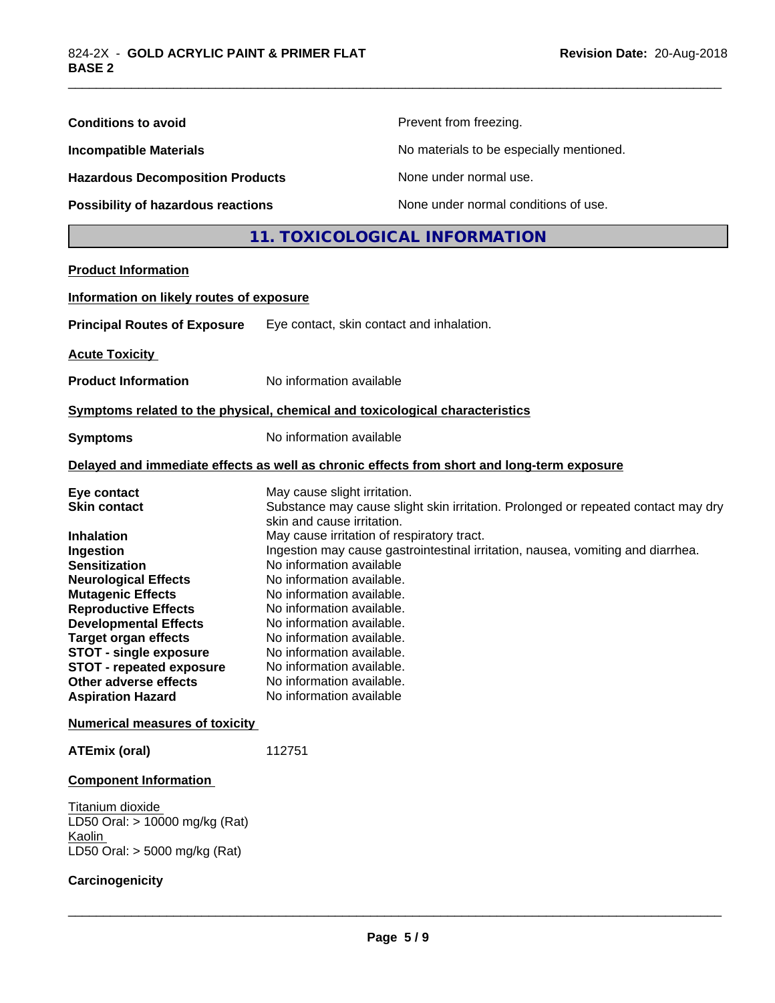| <b>Conditions to avoid</b>                                                                                                                                                                                                                                                                                                        |                                                                                                                                                                                                                                                                                                                                            | Prevent from freezing.                                                                     |  |
|-----------------------------------------------------------------------------------------------------------------------------------------------------------------------------------------------------------------------------------------------------------------------------------------------------------------------------------|--------------------------------------------------------------------------------------------------------------------------------------------------------------------------------------------------------------------------------------------------------------------------------------------------------------------------------------------|--------------------------------------------------------------------------------------------|--|
| <b>Incompatible Materials</b><br><b>Hazardous Decomposition Products</b><br>Possibility of hazardous reactions                                                                                                                                                                                                                    |                                                                                                                                                                                                                                                                                                                                            | No materials to be especially mentioned.                                                   |  |
|                                                                                                                                                                                                                                                                                                                                   |                                                                                                                                                                                                                                                                                                                                            | None under normal use.                                                                     |  |
|                                                                                                                                                                                                                                                                                                                                   |                                                                                                                                                                                                                                                                                                                                            | None under normal conditions of use.                                                       |  |
|                                                                                                                                                                                                                                                                                                                                   |                                                                                                                                                                                                                                                                                                                                            | 11. TOXICOLOGICAL INFORMATION                                                              |  |
| <b>Product Information</b>                                                                                                                                                                                                                                                                                                        |                                                                                                                                                                                                                                                                                                                                            |                                                                                            |  |
| Information on likely routes of exposure                                                                                                                                                                                                                                                                                          |                                                                                                                                                                                                                                                                                                                                            |                                                                                            |  |
| <b>Principal Routes of Exposure</b>                                                                                                                                                                                                                                                                                               | Eye contact, skin contact and inhalation.                                                                                                                                                                                                                                                                                                  |                                                                                            |  |
| <b>Acute Toxicity</b>                                                                                                                                                                                                                                                                                                             |                                                                                                                                                                                                                                                                                                                                            |                                                                                            |  |
| <b>Product Information</b>                                                                                                                                                                                                                                                                                                        | No information available                                                                                                                                                                                                                                                                                                                   |                                                                                            |  |
| Symptoms related to the physical, chemical and toxicological characteristics                                                                                                                                                                                                                                                      |                                                                                                                                                                                                                                                                                                                                            |                                                                                            |  |
| <b>Symptoms</b>                                                                                                                                                                                                                                                                                                                   | No information available                                                                                                                                                                                                                                                                                                                   |                                                                                            |  |
|                                                                                                                                                                                                                                                                                                                                   |                                                                                                                                                                                                                                                                                                                                            | Delayed and immediate effects as well as chronic effects from short and long-term exposure |  |
| Eye contact<br><b>Skin contact</b>                                                                                                                                                                                                                                                                                                | May cause slight irritation.<br>skin and cause irritation.                                                                                                                                                                                                                                                                                 | Substance may cause slight skin irritation. Prolonged or repeated contact may dry          |  |
| Inhalation<br>Ingestion<br><b>Sensitization</b><br><b>Neurological Effects</b><br><b>Mutagenic Effects</b><br><b>Reproductive Effects</b><br><b>Developmental Effects</b><br><b>Target organ effects</b><br><b>STOT - single exposure</b><br><b>STOT - repeated exposure</b><br>Other adverse effects<br><b>Aspiration Hazard</b> | May cause irritation of respiratory tract.<br>No information available<br>No information available.<br>No information available.<br>No information available.<br>No information available.<br>No information available.<br>No information available.<br>No information available.<br>No information available.<br>No information available | Ingestion may cause gastrointestinal irritation, nausea, vomiting and diarrhea.            |  |
| <b>Numerical measures of toxicity</b>                                                                                                                                                                                                                                                                                             |                                                                                                                                                                                                                                                                                                                                            |                                                                                            |  |
| <b>ATEmix (oral)</b>                                                                                                                                                                                                                                                                                                              | 112751                                                                                                                                                                                                                                                                                                                                     |                                                                                            |  |
| <b>Component Information</b>                                                                                                                                                                                                                                                                                                      |                                                                                                                                                                                                                                                                                                                                            |                                                                                            |  |
| Titanium dioxide<br>LD50 Oral: > 10000 mg/kg (Rat)<br>Kaolin<br>LD50 Oral: $>$ 5000 mg/kg (Rat)                                                                                                                                                                                                                                   |                                                                                                                                                                                                                                                                                                                                            |                                                                                            |  |
| Carcinogenicity                                                                                                                                                                                                                                                                                                                   |                                                                                                                                                                                                                                                                                                                                            |                                                                                            |  |

\_\_\_\_\_\_\_\_\_\_\_\_\_\_\_\_\_\_\_\_\_\_\_\_\_\_\_\_\_\_\_\_\_\_\_\_\_\_\_\_\_\_\_\_\_\_\_\_\_\_\_\_\_\_\_\_\_\_\_\_\_\_\_\_\_\_\_\_\_\_\_\_\_\_\_\_\_\_\_\_\_\_\_\_\_\_\_\_\_\_\_\_\_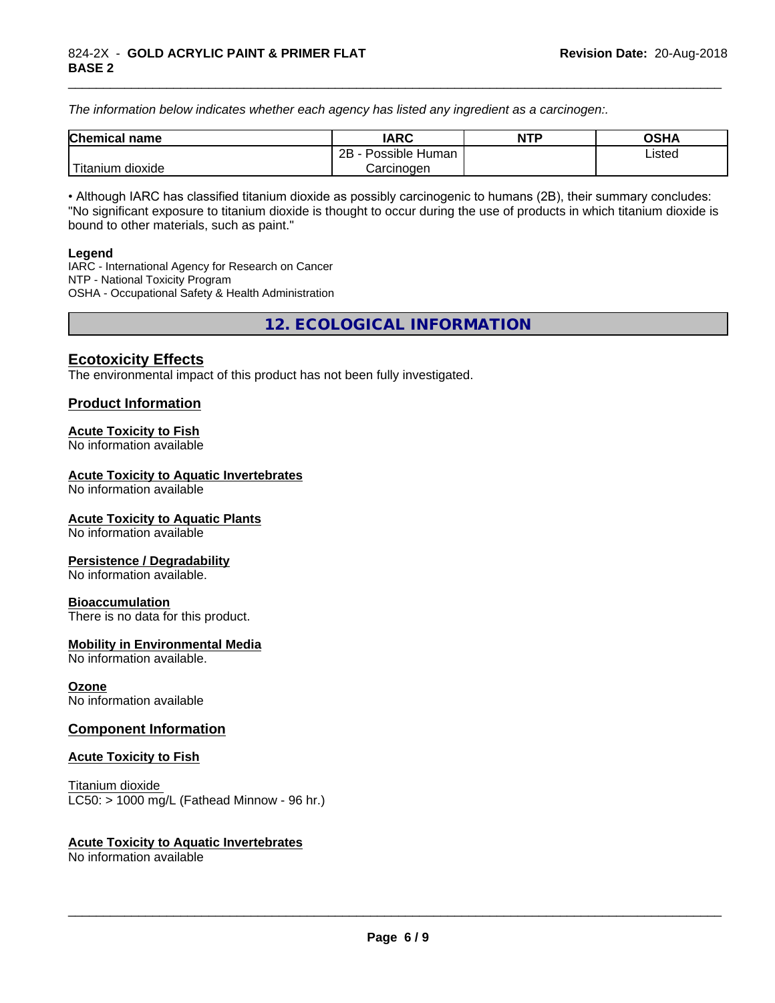*The information below indicateswhether each agency has listed any ingredient as a carcinogen:.*

| <b>Chemical</b><br>name  | <b>IARC</b>                    | <b>NTP</b> | <b>OSHA</b> |
|--------------------------|--------------------------------|------------|-------------|
|                          | . .<br>2B<br>Possible<br>Human |            | Listed<br>. |
| .<br>dioxide<br>⊺itanium | Carcinogen                     |            |             |

\_\_\_\_\_\_\_\_\_\_\_\_\_\_\_\_\_\_\_\_\_\_\_\_\_\_\_\_\_\_\_\_\_\_\_\_\_\_\_\_\_\_\_\_\_\_\_\_\_\_\_\_\_\_\_\_\_\_\_\_\_\_\_\_\_\_\_\_\_\_\_\_\_\_\_\_\_\_\_\_\_\_\_\_\_\_\_\_\_\_\_\_\_

• Although IARC has classified titanium dioxide as possibly carcinogenic to humans (2B), their summary concludes: "No significant exposure to titanium dioxide is thought to occur during the use of products in which titanium dioxide is bound to other materials, such as paint."

#### **Legend**

IARC - International Agency for Research on Cancer NTP - National Toxicity Program OSHA - Occupational Safety & Health Administration

**12. ECOLOGICAL INFORMATION**

# **Ecotoxicity Effects**

The environmental impact of this product has not been fully investigated.

### **Product Information**

#### **Acute Toxicity to Fish**

No information available

#### **Acute Toxicity to Aquatic Invertebrates**

No information available

#### **Acute Toxicity to Aquatic Plants**

No information available

#### **Persistence / Degradability**

No information available.

#### **Bioaccumulation**

There is no data for this product.

#### **Mobility in Environmental Media**

No information available.

#### **Ozone**

No information available

### **Component Information**

#### **Acute Toxicity to Fish**

Titanium dioxide  $LC50:$  > 1000 mg/L (Fathead Minnow - 96 hr.)

#### **Acute Toxicity to Aquatic Invertebrates**

No information available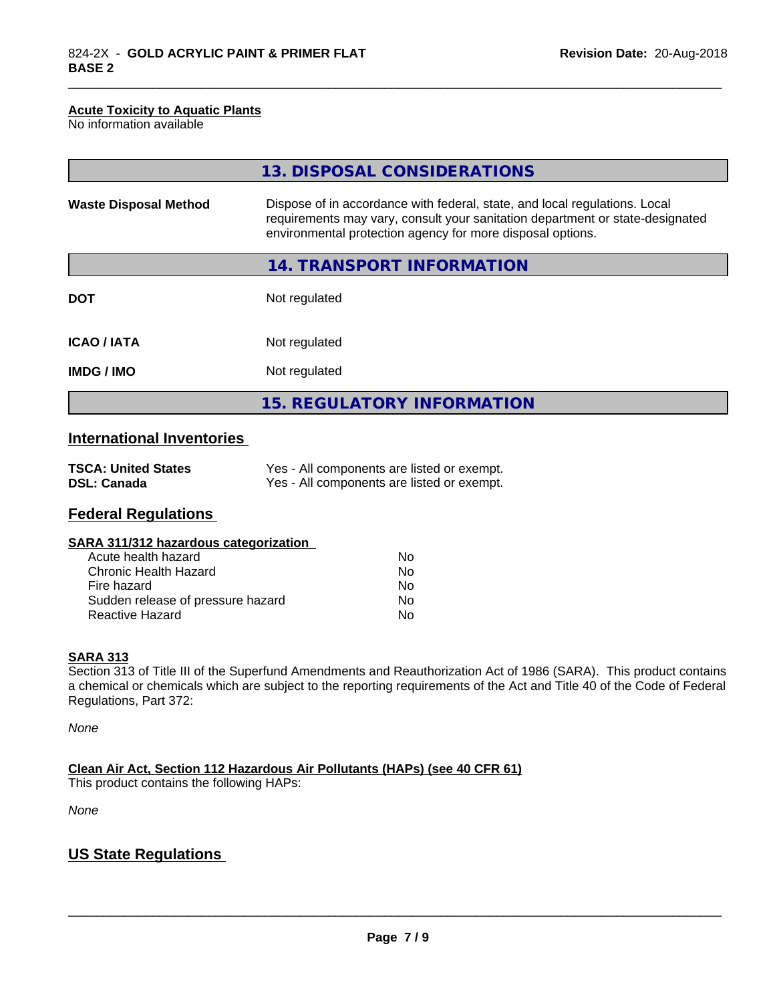#### **Acute Toxicity to Aquatic Plants**

No information available

|                              | 13. DISPOSAL CONSIDERATIONS                                                                                                                                                                                               |  |
|------------------------------|---------------------------------------------------------------------------------------------------------------------------------------------------------------------------------------------------------------------------|--|
| <b>Waste Disposal Method</b> | Dispose of in accordance with federal, state, and local regulations. Local<br>requirements may vary, consult your sanitation department or state-designated<br>environmental protection agency for more disposal options. |  |
|                              | 14. TRANSPORT INFORMATION                                                                                                                                                                                                 |  |
| <b>DOT</b>                   | Not regulated                                                                                                                                                                                                             |  |
| <b>ICAO/IATA</b>             | Not regulated                                                                                                                                                                                                             |  |
| <b>IMDG/IMO</b>              | Not regulated                                                                                                                                                                                                             |  |
|                              | 15. REGULATORY INFORMATION                                                                                                                                                                                                |  |

\_\_\_\_\_\_\_\_\_\_\_\_\_\_\_\_\_\_\_\_\_\_\_\_\_\_\_\_\_\_\_\_\_\_\_\_\_\_\_\_\_\_\_\_\_\_\_\_\_\_\_\_\_\_\_\_\_\_\_\_\_\_\_\_\_\_\_\_\_\_\_\_\_\_\_\_\_\_\_\_\_\_\_\_\_\_\_\_\_\_\_\_\_

# **International Inventories**

| <b>TSCA: United States</b> | Yes - All components are listed or exempt. |
|----------------------------|--------------------------------------------|
| <b>DSL: Canada</b>         | Yes - All components are listed or exempt. |

# **Federal Regulations**

| SARA 311/312 hazardous categorization |    |  |
|---------------------------------------|----|--|
| Acute health hazard                   | Nο |  |
| Chronic Health Hazard                 | Nο |  |
| Fire hazard                           | Nο |  |
| Sudden release of pressure hazard     | N٥ |  |

Reactive Hazard No. No. 2012

# **SARA 313**

Section 313 of Title III of the Superfund Amendments and Reauthorization Act of 1986 (SARA). This product contains a chemical or chemicals which are subject to the reporting requirements of the Act and Title 40 of the Code of Federal Regulations, Part 372:

*None*

**Clean Air Act,Section 112 Hazardous Air Pollutants (HAPs) (see 40 CFR 61)**

This product contains the following HAPs:

*None*

# **US State Regulations**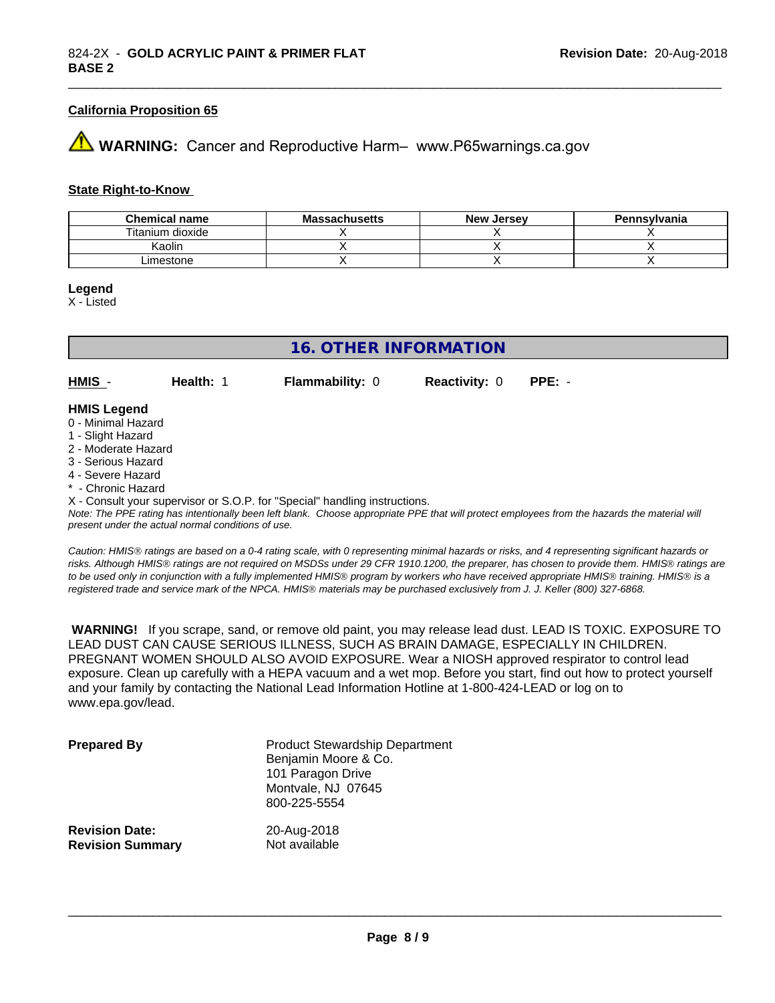#### **California Proposition 65**

# **43 WARNING:** Cancer and Reproductive Harm– www.P65warnings.ca.gov

#### **State Right-to-Know**

| <b>Chemical name</b> | <b>Massachusetts</b> | <b>New Jersey</b> | Pennsylvania |
|----------------------|----------------------|-------------------|--------------|
| Titanium dioxide     |                      |                   |              |
| Kaolin               |                      |                   |              |
| ∟imestone            |                      |                   |              |

#### **Legend**

X - Listed

### **16. OTHER INFORMATION**

**HMIS** - **Health:** 1 **Flammability:** 0 **Reactivity:** 0 **PPE:** -

#### **HMIS Legend**

- 0 Minimal Hazard
- 1 Slight Hazard
- 2 Moderate Hazard
- 3 Serious Hazard
- 4 Severe Hazard
- \* Chronic Hazard

X - Consult your supervisor or S.O.P. for "Special" handling instructions.

*Note: The PPE rating has intentionally been left blank. Choose appropriate PPE that will protect employees from the hazards the material will present under the actual normal conditions of use.*

*Caution: HMISÒ ratings are based on a 0-4 rating scale, with 0 representing minimal hazards or risks, and 4 representing significant hazards or risks. Although HMISÒ ratings are not required on MSDSs under 29 CFR 1910.1200, the preparer, has chosen to provide them. HMISÒ ratings are to be used only in conjunction with a fully implemented HMISÒ program by workers who have received appropriate HMISÒ training. HMISÒ is a registered trade and service mark of the NPCA. HMISÒ materials may be purchased exclusively from J. J. Keller (800) 327-6868.*

 **WARNING!** If you scrape, sand, or remove old paint, you may release lead dust. LEAD IS TOXIC. EXPOSURE TO LEAD DUST CAN CAUSE SERIOUS ILLNESS, SUCH AS BRAIN DAMAGE, ESPECIALLY IN CHILDREN. PREGNANT WOMEN SHOULD ALSO AVOID EXPOSURE.Wear a NIOSH approved respirator to control lead exposure. Clean up carefully with a HEPA vacuum and a wet mop. Before you start, find out how to protect yourself and your family by contacting the National Lead Information Hotline at 1-800-424-LEAD or log on to www.epa.gov/lead.

| <b>Prepared By</b>      | <b>Product Stewardship Department</b><br>Benjamin Moore & Co.<br>101 Paragon Drive<br>Montvale, NJ 07645<br>800-225-5554 |
|-------------------------|--------------------------------------------------------------------------------------------------------------------------|
| <b>Revision Date:</b>   | 20-Aug-2018                                                                                                              |
| <b>Revision Summary</b> | Not available                                                                                                            |